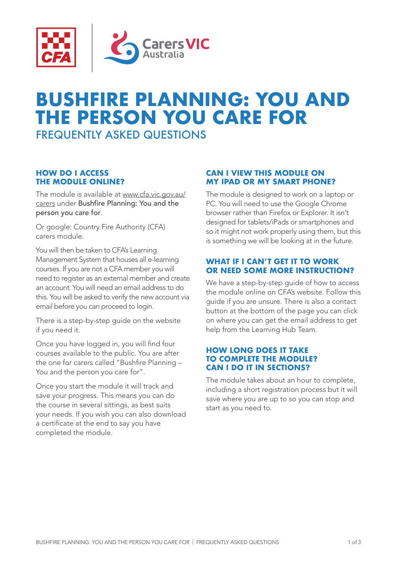

# **BUSHFIRE PLANNING: YOU AND THE PERSON YOU CARE FOR**

FREQUENTLY ASKED QUESTIONS

## **HOW DO I ACCESS THE MODULE ONLINE?**

The module is available at [www.cfa.vic.gov.au/](https://www.cfa.vic.gov.au/plan-prepare/your-local-area-info-and-advice/e-learning-for-workers-and-carers) [carers](https://www.cfa.vic.gov.au/plan-prepare/your-local-area-info-and-advice/e-learning-for-workers-and-carers) under Bushfire Planning: You and the person you care for.

Or google: Country Fire Authority (CFA) carers module.

You will then be taken to CFA's Learning Management System that houses all e-learning courses. If you are not a CFA member you will need to register as an external member and create an account. You will need an email address to do this. You will be asked to verify the new account via email before you can proceed to login.

There is a step-by-step guide on the website if you need it.

Once you have logged in, you will find four courses available to the public. You are after the one for carers called "Bushfire Planning – You and the person you care for".

Once you start the module it will track and save your progress. This means you can do the course in several sittings, as best suits your needs. If you wish you can also download a certificate at the end to say you have completed the module.

# **CAN I VIEW THIS MODULE ON MY IPAD OR MY SMART PHONE?**

The module is designed to work on a laptop or PC. You will need to use the Google Chrome browser rather than Firefox or Explorer. It isn't designed for tablets/iPads or smartphones and so it might not work properly using them, but this is something we will be looking at in the future.

#### **WHAT IF I CAN'T GET IT TO WORK OR NEED SOME MORE INSTRUCTION?**

We have a step-by-step quide of how to access the module online on CFA's website. Follow this guide if you are unsure. There is also a contact button at the bottom of the page you can click on where you can get the email address to get help from the Learning Hub Team.

## **HOW LONG DOES IT TAKE TO COMPLETE THE MODULE? CAN I DO IT IN SECTIONS?**

The module takes about an hour to complete, including a short registration process but it will save where you are up to so you can stop and start as you need to.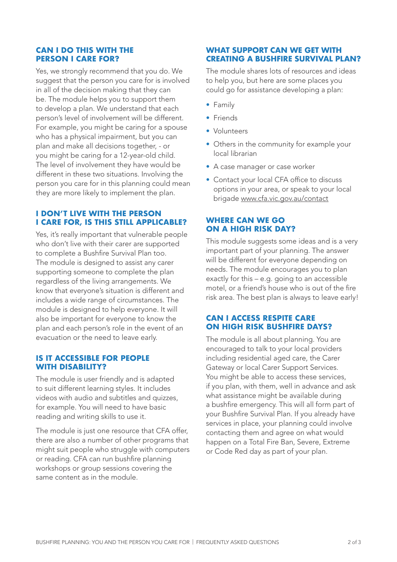#### **CAN I DO THIS WITH THE PERSON I CARE FOR?**

Yes, we strongly recommend that you do. We suggest that the person you care for is involved in all of the decision making that they can be. The module helps you to support them to develop a plan. We understand that each person's level of involvement will be different. For example, you might be caring for a spouse who has a physical impairment, but you can plan and make all decisions together, - or you might be caring for a 12-year-old child. The level of involvement they have would be different in these two situations. Involving the person you care for in this planning could mean they are more likely to implement the plan.

#### **I DON'T LIVE WITH THE PERSON I CARE FOR, IS THIS STILL APPLICABLE?**

Yes, it's really important that vulnerable people who don't live with their carer are supported to complete a Bushfire Survival Plan too. The module is designed to assist any carer supporting someone to complete the plan regardless of the living arrangements. We know that everyone's situation is different and includes a wide range of circumstances. The module is designed to help everyone. It will also be important for everyone to know the plan and each person's role in the event of an evacuation or the need to leave early.

#### **IS IT ACCESSIBLE FOR PEOPLE WITH DISABILITY?**

The module is user friendly and is adapted to suit different learning styles. It includes videos with audio and subtitles and quizzes, for example. You will need to have basic reading and writing skills to use it.

The module is just one resource that CFA offer, there are also a number of other programs that might suit people who struggle with computers or reading. CFA can run bushfire planning workshops or group sessions covering the same content as in the module.

## **WHAT SUPPORT CAN WE GET WITH CREATING A BUSHFIRE SURVIVAL PLAN?**

The module shares lots of resources and ideas to help you, but here are some places you could go for assistance developing a plan:

- Family
- Friends
- Volunteers
- Others in the community for example your local librarian
- A case manager or case worker
- Contact your local CFA office to discuss options in your area, or speak to your local brigade [www.cfa.vic.gov.au/contact](http://www.cfa.vic.gov.au/contact)

# **WHERE CAN WE GO ON A HIGH RISK DAY?**

This module suggests some ideas and is a very important part of your planning. The answer will be different for everyone depending on needs. The module encourages you to plan exactly for this – e.g. going to an accessible motel, or a friend's house who is out of the fire risk area. The best plan is always to leave early!

# **CAN I ACCESS RESPITE CARE ON HIGH RISK BUSHFIRE DAYS?**

The module is all about planning. You are encouraged to talk to your local providers including residential aged care, the Carer Gateway or local Carer Support Services. You might be able to access these services. if you plan, with them, well in advance and ask what assistance might be available during a bushfire emergency. This will all form part of your Bushfire Survival Plan. If you already have services in place, your planning could involve contacting them and agree on what would happen on a Total Fire Ban, Severe, Extreme or Code Red day as part of your plan.